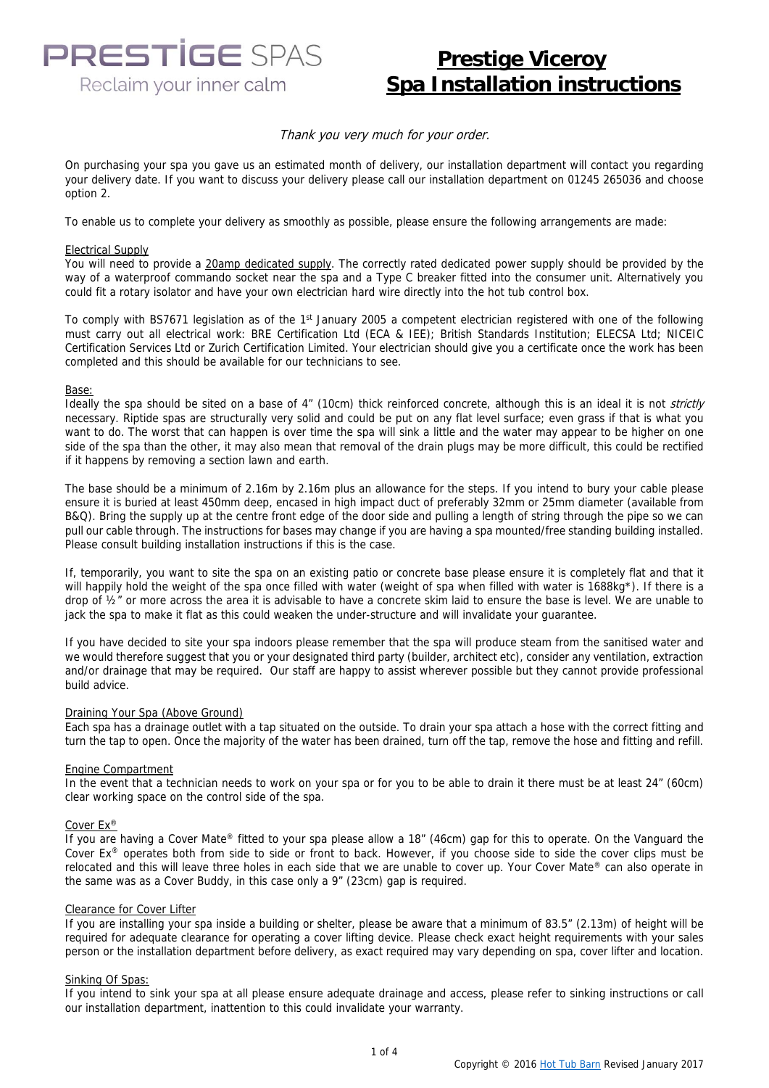**PRESTIGE SPAS** Reclaim your inner calm

### **Prestige Viceroy Spa Installation instructions**

#### Thank you very much for your order.

On purchasing your spa you gave us an estimated month of delivery, our installation department will contact you regarding your delivery date. If you want to discuss your delivery please call our installation department on 01245 265036 and choose option 2.

To enable us to complete your delivery as smoothly as possible, please ensure the following arrangements are made:

#### Electrical Supply

You will need to provide a 20amp dedicated supply. The correctly rated dedicated power supply should be provided by the way of a waterproof commando socket near the spa and a Type C breaker fitted into the consumer unit. Alternatively you could fit a rotary isolator and have your own electrician hard wire directly into the hot tub control box.

To comply with BS7671 legislation as of the 1<sup>st</sup> January 2005 a competent electrician registered with one of the following must carry out all electrical work: BRE Certification Ltd (ECA & IEE); British Standards Institution; ELECSA Ltd; NICEIC Certification Services Ltd or Zurich Certification Limited. Your electrician should give you a certificate once the work has been completed and this should be available for our technicians to see.

#### Base:

Ideally the spa should be sited on a base of 4" (10cm) thick reinforced concrete, although this is an ideal it is not strictly necessary. Riptide spas are structurally very solid and could be put on any flat level surface; even grass if that is what you want to do. The worst that can happen is over time the spa will sink a little and the water may appear to be higher on one side of the spa than the other, it may also mean that removal of the drain plugs may be more difficult, this could be rectified if it happens by removing a section lawn and earth.

The base should be a minimum of 2.16m by 2.16m plus an allowance for the steps. If you intend to bury your cable please ensure it is buried at least 450mm deep, encased in high impact duct of preferably 32mm or 25mm diameter (available from B&Q). Bring the supply up at the centre front edge of the door side and pulling a length of string through the pipe so we can pull our cable through. The instructions for bases may change if you are having a spa mounted/free standing building installed. Please consult building installation instructions if this is the case.

If, temporarily, you want to site the spa on an existing patio or concrete base please ensure it is completely flat and that it will happily hold the weight of the spa once filled with water (weight of spa when filled with water is 1688kg\*). If there is a drop of  $\frac{1}{2}$ " or more across the area it is advisable to have a concrete skim laid to ensure the base is level. We are unable to jack the spa to make it flat as this could weaken the under-structure and will invalidate your guarantee.

If you have decided to site your spa indoors please remember that the spa will produce steam from the sanitised water and we would therefore suggest that you or your designated third party (builder, architect etc), consider any ventilation, extraction and/or drainage that may be required. Our staff are happy to assist wherever possible but they cannot provide professional build advice.

#### Draining Your Spa (Above Ground)

Each spa has a drainage outlet with a tap situated on the outside. To drain your spa attach a hose with the correct fitting and turn the tap to open. Once the majority of the water has been drained, turn off the tap, remove the hose and fitting and refill.

#### Engine Compartment

In the event that a technician needs to work on your spa or for you to be able to drain it there must be at least 24" (60cm) clear working space on the control side of the spa.

#### Cover Ex®

If you are having a Cover Mate® fitted to your spa please allow a 18" (46cm) gap for this to operate. On the Vanguard the Cover  $Ex^{\circledast}$  operates both from side to side or front to back. However, if you choose side to side the cover clips must be relocated and this will leave three holes in each side that we are unable to cover up. Your Cover Mate® can also operate in the same was as a Cover Buddy, in this case only a 9" (23cm) gap is required.

#### Clearance for Cover Lifter

If you are installing your spa inside a building or shelter, please be aware that a minimum of 83.5" (2.13m) of height will be required for adequate clearance for operating a cover lifting device. Please check exact height requirements with your sales person or the installation department before delivery, as exact required may vary depending on spa, cover lifter and location.

#### Sinking Of Spas:

If you intend to sink your spa at all please ensure adequate drainage and access, please refer to sinking instructions or call our installation department, inattention to this could invalidate your warranty.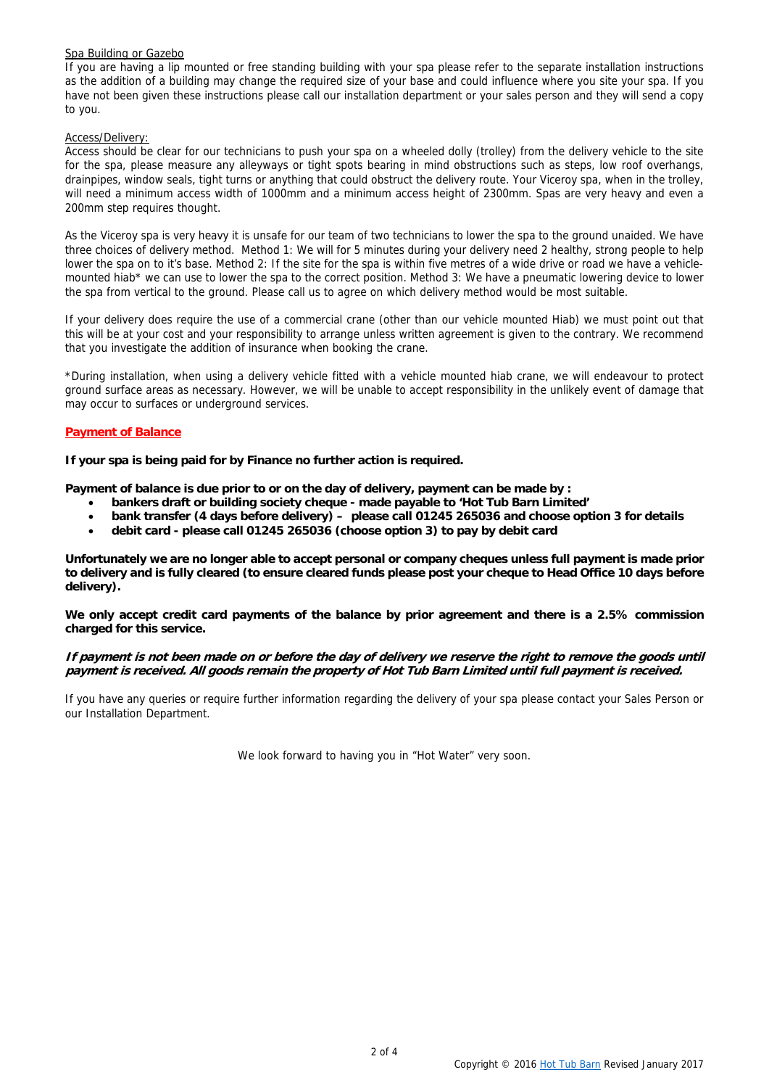#### Spa Building or Gazebo

If you are having a lip mounted or free standing building with your spa please refer to the separate installation instructions as the addition of a building may change the required size of your base and could influence where you site your spa. If you have not been given these instructions please call our installation department or your sales person and they will send a copy to you.

#### Access/Delivery:

Access should be clear for our technicians to push your spa on a wheeled dolly (trolley) from the delivery vehicle to the site for the spa, please measure any alleyways or tight spots bearing in mind obstructions such as steps, low roof overhangs, drainpipes, window seals, tight turns or anything that could obstruct the delivery route. Your Viceroy spa, when in the trolley, will need a minimum access width of 1000mm and a minimum access height of 2300mm. Spas are very heavy and even a 200mm step requires thought.

As the Viceroy spa is very heavy it is unsafe for our team of two technicians to lower the spa to the ground unaided. We have three choices of delivery method. Method 1: We will for 5 minutes during your delivery need 2 healthy, strong people to help lower the spa on to it's base. Method 2: If the site for the spa is within five metres of a wide drive or road we have a vehiclemounted hiab\* we can use to lower the spa to the correct position. Method 3: We have a pneumatic lowering device to lower the spa from vertical to the ground. Please call us to agree on which delivery method would be most suitable.

If your delivery does require the use of a commercial crane (other than our vehicle mounted Hiab) we must point out that this will be at your cost and your responsibility to arrange unless written agreement is given to the contrary. We recommend that you investigate the addition of insurance when booking the crane.

\*During installation, when using a delivery vehicle fitted with a vehicle mounted hiab crane, we will endeavour to protect ground surface areas as necessary. However, we will be unable to accept responsibility in the unlikely event of damage that may occur to surfaces or underground services.

#### **Payment of Balance**

**If your spa is being paid for by Finance no further action is required.** 

Payment of balance is due prior to or on the day of delivery, payment can be made by :

- **bankers draft or building society cheque made payable to 'Hot Tub Barn Limited'**
- **bank transfer (4 days before delivery) please call 01245 265036 and choose option 3 for details**
- **debit card please call 01245 265036 (choose option 3) to pay by debit card**

**Unfortunately we are no longer able to accept personal or company cheques unless full payment is made prior to delivery and is fully cleared (to ensure cleared funds please post your cheque to Head Office 10 days before delivery).** 

**We only accept credit card payments of the balance by prior agreement and there is a 2.5% commission charged for this service.** 

#### **If payment is not been made on or before the day of delivery we reserve the right to remove the goods until payment is received. All goods remain the property of Hot Tub Barn Limited until full payment is received.**

If you have any queries or require further information regarding the delivery of your spa please contact your Sales Person or our Installation Department.

We look forward to having you in "Hot Water" very soon.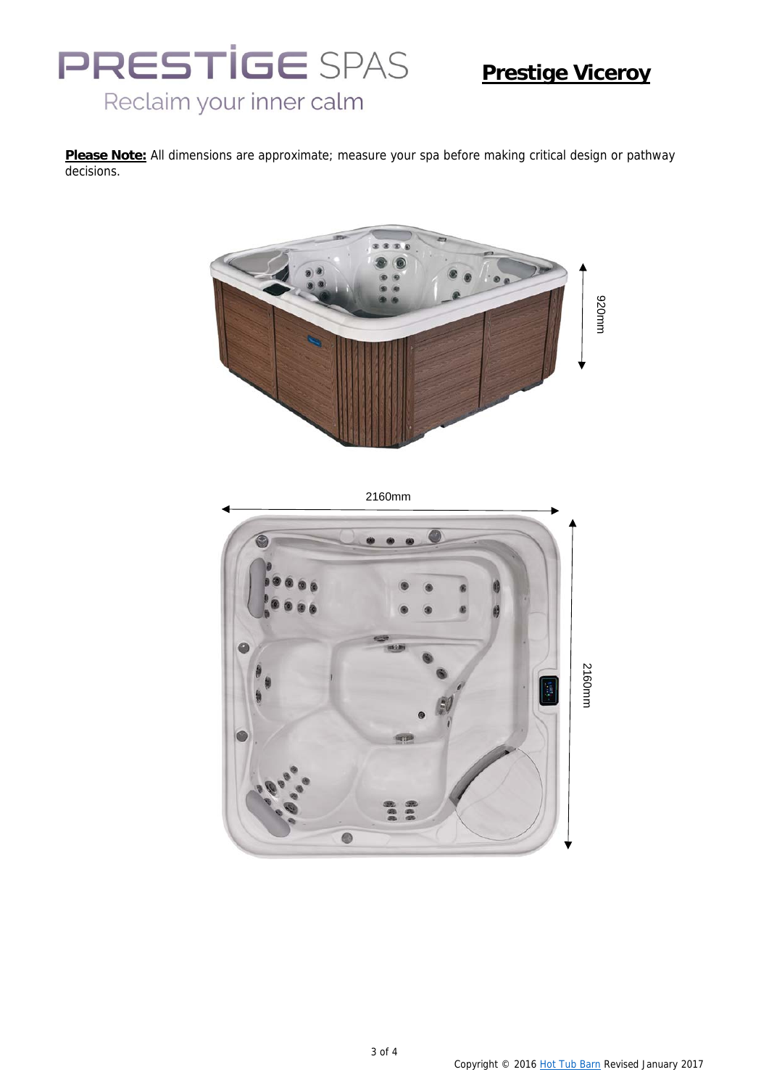# **PRESTIGE SPAS** Reclaim your inner calm

## **Prestige Viceroy**

**Please Note:** All dimensions are approximate; measure your spa before making critical design or pathway decisions.



2160mm